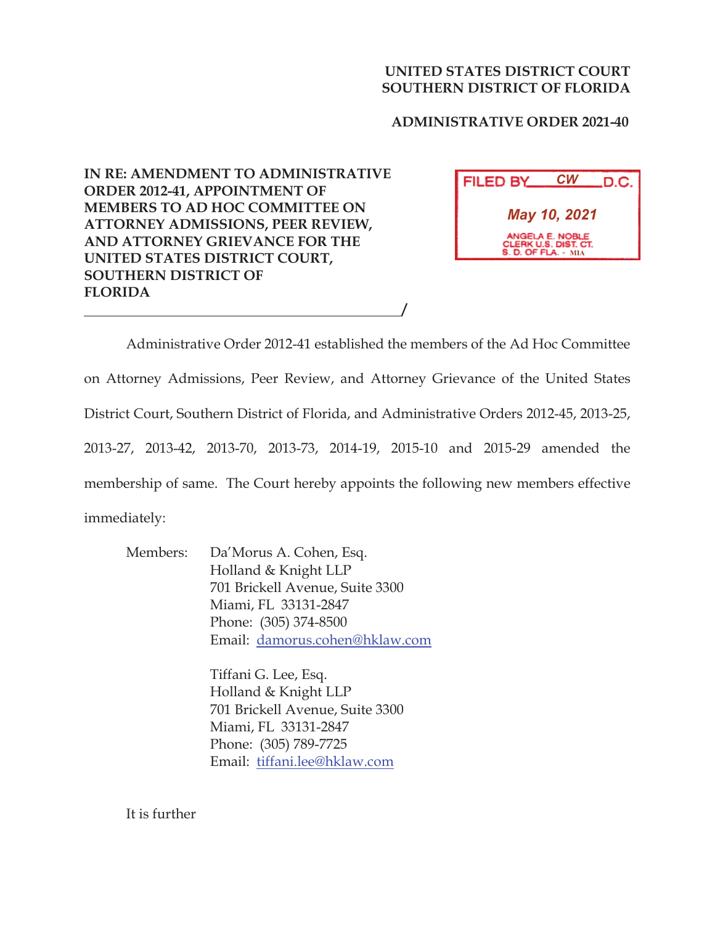## **UNITED STATES DISTRICT COURT SOUTHERN DISTRICT OF FLORIDA**

 **ADMINISTRATIVE ORDER 2021-40**

**IN RE: AMENDMENT TO ADMINISTRATIVE ORDER 2012-41, APPOINTMENT OF MEMBERS TO AD HOC COMMITTEE ON ATTORNEY ADMISSIONS, PEER REVIEW, AND ATTORNEY GRIEVANCE FOR THE UNITED STATES DISTRICT COURT, SOUTHERN DISTRICT OF FLORIDA** 

| <b>FILED BY</b>                                                       | СW | .D.C. |
|-----------------------------------------------------------------------|----|-------|
| May 10, 2021                                                          |    |       |
| ANGELA E. NOBLE<br>CLERK U.S. DIST. CT.<br><b>S. D. OF FLA. - MIA</b> |    |       |

Administrative Order 2012-41 established the members of the Ad Hoc Committee on Attorney Admissions, Peer Review, and Attorney Grievance of the United States District Court, Southern District of Florida, and Administrative Orders 2012-45, 2013-25, 2013-27, 2013-42, 2013-70, 2013-73, 2014-19, 2015-10 and 2015-29 amended the membership of same. The Court hereby appoints the following new members effective immediately:

**/**

Members: Da'Morus A. Cohen, Esq. Holland & Knight LLP 701 Brickell Avenue, Suite 3300 Miami, FL 33131-2847 Phone: (305) 374-8500 Email: damorus.cohen@hklaw.com

> Tiffani G. Lee, Esq. Holland & Knight LLP 701 Brickell Avenue, Suite 3300 Miami, FL 33131-2847 Phone: (305) 789-7725 Email: tiffani.lee@hklaw.com

It is further